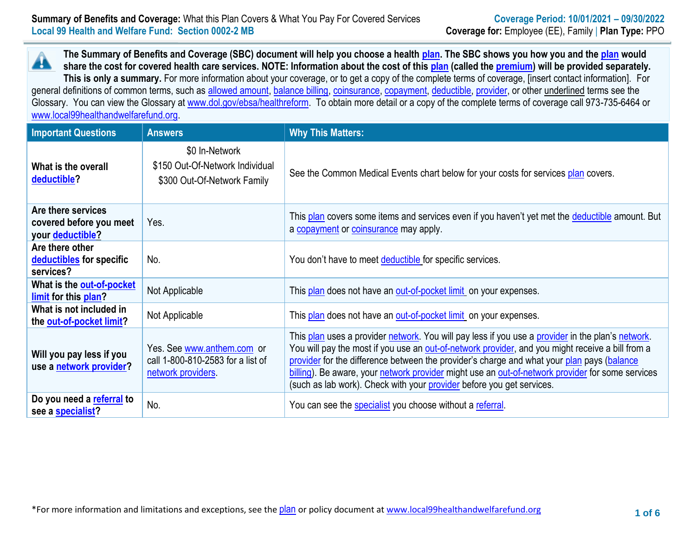**The Summary of Benefits and Coverage (SBC) document will help you choose a health [plan.](https://www.healthcare.gov/sbc-glossary/#plan) The SBC shows you how you and th[e plan](https://www.healthcare.gov/sbc-glossary/#plan) would** Â **share the cost for covered health care services. NOTE: Information about the cost of this [plan](https://www.healthcare.gov/sbc-glossary/#plan) (called the [premium\)](https://www.healthcare.gov/sbc-glossary/#premium) will be provided separately. This is only a summary.** For more information about your coverage, or to get a copy of the complete terms of coverage, [insert contact information]. For general definitions of common terms, such as [allowed amount,](https://www.healthcare.gov/sbc-glossary/#allowed-amount) [balance billing,](https://www.healthcare.gov/sbc-glossary/#balance-billing) [coinsurance,](https://www.healthcare.gov/sbc-glossary/#coinsurance) [copayment,](https://www.healthcare.gov/sbc-glossary/#copayment) [deductible,](https://www.healthcare.gov/sbc-glossary/#deductible) [provider,](https://www.healthcare.gov/sbc-glossary/#provider) or other underlined terms see the Glossary. You can view the Glossary at [www.dol.gov/ebsa/healthreform.](http://www.dol.gov/ebsa/healthreform) To obtain more detail or a copy of the complete terms of coverage call 973-735-6464 or [www.local99healthandwelfarefund.org.](http://www.local99healthandwelfarefund.org/)

| <b>Important Questions</b>                                        | <b>Answers</b>                                                                       | <b>Why This Matters:</b>                                                                                                                                                                                                                                                                                                                                                                                                                                                         |
|-------------------------------------------------------------------|--------------------------------------------------------------------------------------|----------------------------------------------------------------------------------------------------------------------------------------------------------------------------------------------------------------------------------------------------------------------------------------------------------------------------------------------------------------------------------------------------------------------------------------------------------------------------------|
| What is the overall<br>deductible?                                | \$0 In-Network<br>\$150 Out-Of-Network Individual<br>\$300 Out-Of-Network Family     | See the Common Medical Events chart below for your costs for services plan covers.                                                                                                                                                                                                                                                                                                                                                                                               |
| Are there services<br>covered before you meet<br>your deductible? | Yes.                                                                                 | This plan covers some items and services even if you haven't yet met the deductible amount. But<br>a copayment or coinsurance may apply.                                                                                                                                                                                                                                                                                                                                         |
| Are there other<br>deductibles for specific<br>services?          | No.                                                                                  | You don't have to meet deductible for specific services.                                                                                                                                                                                                                                                                                                                                                                                                                         |
| What is the out-of-pocket<br>limit for this plan?                 | Not Applicable                                                                       | This plan does not have an out-of-pocket limit on your expenses.                                                                                                                                                                                                                                                                                                                                                                                                                 |
| What is not included in<br>the out-of-pocket limit?               | Not Applicable                                                                       | This plan does not have an out-of-pocket limit on your expenses.                                                                                                                                                                                                                                                                                                                                                                                                                 |
| Will you pay less if you<br>use a network provider?               | Yes. See www.anthem.com or<br>call 1-800-810-2583 for a list of<br>network providers | This plan uses a provider network. You will pay less if you use a provider in the plan's network.<br>You will pay the most if you use an out-of-network provider, and you might receive a bill from a<br>provider for the difference between the provider's charge and what your plan pays (balance<br>billing). Be aware, your network provider might use an out-of-network provider for some services<br>(such as lab work). Check with your provider before you get services. |
| Do you need a referral to<br>see a specialist?                    | No.                                                                                  | You can see the specialist you choose without a referral.                                                                                                                                                                                                                                                                                                                                                                                                                        |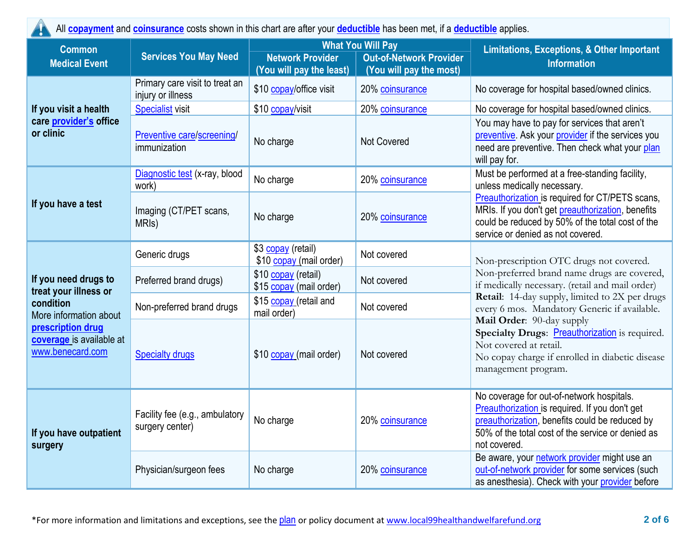All **[copayment](https://www.healthcare.gov/sbc-glossary/#copayment)** and **[coinsurance](https://www.healthcare.gov/sbc-glossary/#coinsurance)** costs shown in this chart are after your **[deductible](https://www.healthcare.gov/sbc-glossary/#deductible)** has been met, if a **[deductible](https://www.healthcare.gov/sbc-glossary/#deductible)** applies.

| <b>Common</b>                                                                                                                                             |                                                     | <b>What You Will Pay</b>                            |                                                           | <b>Limitations, Exceptions, &amp; Other Important</b>                                                                                                                                                              |  |
|-----------------------------------------------------------------------------------------------------------------------------------------------------------|-----------------------------------------------------|-----------------------------------------------------|-----------------------------------------------------------|--------------------------------------------------------------------------------------------------------------------------------------------------------------------------------------------------------------------|--|
| <b>Medical Event</b>                                                                                                                                      | <b>Services You May Need</b>                        | <b>Network Provider</b><br>(You will pay the least) | <b>Out-of-Network Provider</b><br>(You will pay the most) | <b>Information</b>                                                                                                                                                                                                 |  |
| If you visit a health<br>care provider's office<br>or clinic                                                                                              | Primary care visit to treat an<br>injury or illness | \$10 copay/office visit                             | 20% coinsurance                                           | No coverage for hospital based/owned clinics.                                                                                                                                                                      |  |
|                                                                                                                                                           | <b>Specialist visit</b>                             | \$10 copay/visit                                    | 20% coinsurance                                           | No coverage for hospital based/owned clinics.                                                                                                                                                                      |  |
|                                                                                                                                                           | <b>Preventive care/screening/</b><br>immunization   | No charge                                           | <b>Not Covered</b>                                        | You may have to pay for services that aren't<br>preventive. Ask your provider if the services you<br>need are preventive. Then check what your plan<br>will pay for.                                               |  |
|                                                                                                                                                           | Diagnostic test (x-ray, blood<br>work)              | No charge                                           | 20% coinsurance                                           | Must be performed at a free-standing facility,<br>unless medically necessary.                                                                                                                                      |  |
| If you have a test                                                                                                                                        | Imaging (CT/PET scans,<br>MRI <sub>s</sub> )        | No charge                                           | 20% coinsurance                                           | Preauthorization is required for CT/PETS scans,<br>MRIs. If you don't get preauthorization, benefits<br>could be reduced by 50% of the total cost of the<br>service or denied as not covered.                      |  |
| If you need drugs to<br>treat your illness or<br>condition<br>More information about<br>prescription drug<br>coverage is available at<br>www.benecard.com | Generic drugs                                       | \$3 copay (retail)<br>\$10 copay (mail order)       | Not covered                                               | Non-prescription OTC drugs not covered.                                                                                                                                                                            |  |
|                                                                                                                                                           | Preferred brand drugs)                              | \$10 copay (retail)<br>\$15 copay (mail order)      | Not covered                                               | Non-preferred brand name drugs are covered,<br>if medically necessary. (retail and mail order)                                                                                                                     |  |
|                                                                                                                                                           | Non-preferred brand drugs                           | \$15 copay (retail and<br>mail order)               | Not covered                                               | Retail: 14-day supply, limited to 2X per drugs<br>every 6 mos. Mandatory Generic if available.                                                                                                                     |  |
|                                                                                                                                                           | <b>Specialty drugs</b>                              | \$10 copay (mail order)                             | Not covered                                               | Mail Order: 90-day supply<br>Specialty Drugs: Preauthorization is required.<br>Not covered at retail.<br>No copay charge if enrolled in diabetic disease<br>management program.                                    |  |
| If you have outpatient<br>surgery                                                                                                                         | Facility fee (e.g., ambulatory<br>surgery center)   | No charge                                           | 20% coinsurance                                           | No coverage for out-of-network hospitals.<br>Preauthorization is required. If you don't get<br>preauthorization, benefits could be reduced by<br>50% of the total cost of the service or denied as<br>not covered. |  |
|                                                                                                                                                           | Physician/surgeon fees                              | No charge                                           | 20% coinsurance                                           | Be aware, your network provider might use an<br>out-of-network provider for some services (such<br>as anesthesia). Check with your provider before                                                                 |  |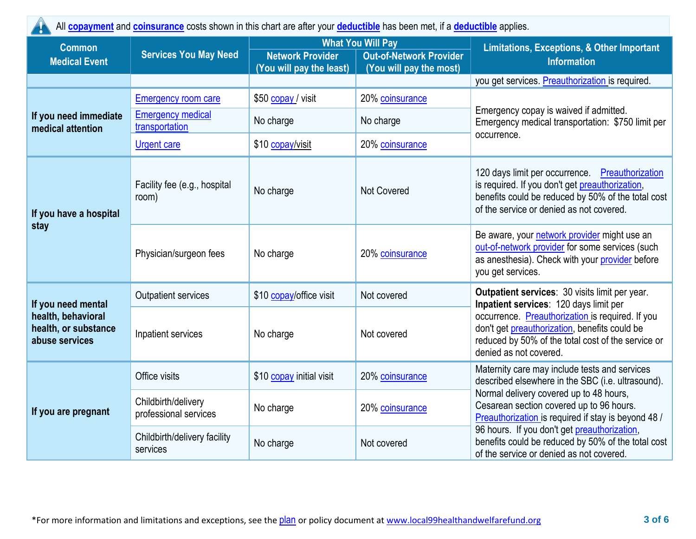All **[copayment](https://www.healthcare.gov/sbc-glossary/#copayment)** and **[coinsurance](https://www.healthcare.gov/sbc-glossary/#coinsurance)** costs shown in this chart are after your **[deductible](https://www.healthcare.gov/sbc-glossary/#deductible)** has been met, if a **[deductible](https://www.healthcare.gov/sbc-glossary/#deductible)** applies.

| <b>Common</b>                                                                      |                                              | <b>What You Will Pay</b>                            |                                                           | <b>Limitations, Exceptions, &amp; Other Important</b>                                                                                                                                                   |  |
|------------------------------------------------------------------------------------|----------------------------------------------|-----------------------------------------------------|-----------------------------------------------------------|---------------------------------------------------------------------------------------------------------------------------------------------------------------------------------------------------------|--|
| <b>Medical Event</b>                                                               | <b>Services You May Need</b>                 | <b>Network Provider</b><br>(You will pay the least) | <b>Out-of-Network Provider</b><br>(You will pay the most) | <b>Information</b>                                                                                                                                                                                      |  |
|                                                                                    |                                              |                                                     |                                                           | you get services. Preauthorization is required.                                                                                                                                                         |  |
| If you need immediate<br>medical attention                                         | <b>Emergency room care</b>                   | \$50 copay / visit                                  | 20% coinsurance                                           |                                                                                                                                                                                                         |  |
|                                                                                    | <b>Emergency medical</b><br>transportation   | No charge                                           | No charge                                                 | Emergency copay is waived if admitted.<br>Emergency medical transportation: \$750 limit per<br>occurrence.                                                                                              |  |
|                                                                                    | <b>Urgent care</b>                           | \$10 copay/visit                                    | 20% coinsurance                                           |                                                                                                                                                                                                         |  |
| If you have a hospital<br>stay                                                     | Facility fee (e.g., hospital<br>room)        | No charge                                           | <b>Not Covered</b>                                        | 120 days limit per occurrence.<br>Preauthorization<br>is required. If you don't get preauthorization,<br>benefits could be reduced by 50% of the total cost<br>of the service or denied as not covered. |  |
|                                                                                    | Physician/surgeon fees                       | No charge                                           | 20% coinsurance                                           | Be aware, your network provider might use an<br>out-of-network provider for some services (such<br>as anesthesia). Check with your provider before<br>you get services.                                 |  |
| If you need mental<br>health, behavioral<br>health, or substance<br>abuse services | <b>Outpatient services</b>                   | \$10 copay/office visit                             | Not covered                                               | Outpatient services: 30 visits limit per year.<br>Inpatient services: 120 days limit per                                                                                                                |  |
|                                                                                    | Inpatient services                           | No charge                                           | Not covered                                               | occurrence. Preauthorization is required. If you<br>don't get preauthorization, benefits could be<br>reduced by 50% of the total cost of the service or<br>denied as not covered.                       |  |
| If you are pregnant                                                                | Office visits                                | \$10 copay initial visit                            | 20% coinsurance                                           | Maternity care may include tests and services<br>described elsewhere in the SBC (i.e. ultrasound).                                                                                                      |  |
|                                                                                    | Childbirth/delivery<br>professional services | No charge                                           | 20% coinsurance                                           | Normal delivery covered up to 48 hours,<br>Cesarean section covered up to 96 hours.<br>Preauthorization is required if stay is beyond 48 /                                                              |  |
|                                                                                    | Childbirth/delivery facility<br>services     | No charge                                           | Not covered                                               | 96 hours. If you don't get preauthorization,<br>benefits could be reduced by 50% of the total cost<br>of the service or denied as not covered.                                                          |  |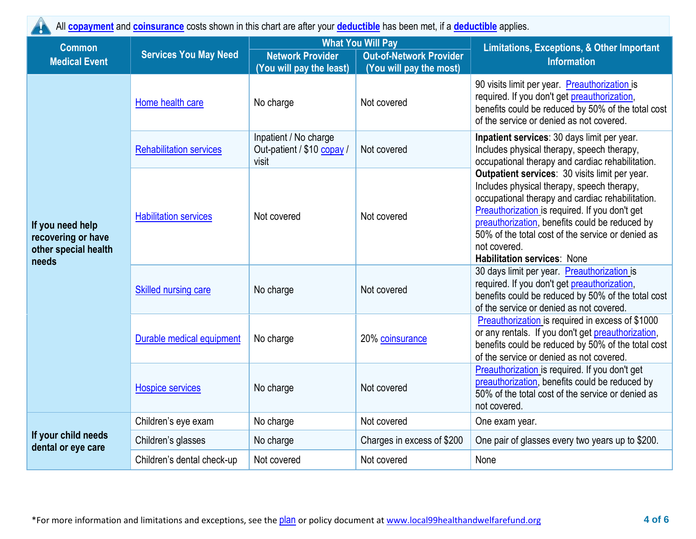## All **[copayment](https://www.healthcare.gov/sbc-glossary/#copayment)** and **[coinsurance](https://www.healthcare.gov/sbc-glossary/#coinsurance)** costs shown in this chart are after your **[deductible](https://www.healthcare.gov/sbc-glossary/#deductible)** has been met, if a **[deductible](https://www.healthcare.gov/sbc-glossary/#deductible)** applies.

| <b>Common</b>                                                           |                                | <b>What You Will Pay</b>                                     |                                                           | <b>Limitations, Exceptions, &amp; Other Important</b>                                                                                                                                                                                                                                                                                                    |  |
|-------------------------------------------------------------------------|--------------------------------|--------------------------------------------------------------|-----------------------------------------------------------|----------------------------------------------------------------------------------------------------------------------------------------------------------------------------------------------------------------------------------------------------------------------------------------------------------------------------------------------------------|--|
| <b>Medical Event</b>                                                    | <b>Services You May Need</b>   | <b>Network Provider</b><br>(You will pay the least)          | <b>Out-of-Network Provider</b><br>(You will pay the most) | <b>Information</b>                                                                                                                                                                                                                                                                                                                                       |  |
| If you need help<br>recovering or have<br>other special health<br>needs | Home health care               | No charge                                                    | Not covered                                               | 90 visits limit per year. Preauthorization is<br>required. If you don't get preauthorization,<br>benefits could be reduced by 50% of the total cost<br>of the service or denied as not covered.                                                                                                                                                          |  |
|                                                                         | <b>Rehabilitation services</b> | Inpatient / No charge<br>Out-patient / \$10 copay /<br>visit | Not covered                                               | Inpatient services: 30 days limit per year.<br>Includes physical therapy, speech therapy,<br>occupational therapy and cardiac rehabilitation.                                                                                                                                                                                                            |  |
|                                                                         | <b>Habilitation services</b>   | Not covered                                                  | Not covered                                               | Outpatient services: 30 visits limit per year.<br>Includes physical therapy, speech therapy,<br>occupational therapy and cardiac rehabilitation.<br>Preauthorization is required. If you don't get<br>preauthorization, benefits could be reduced by<br>50% of the total cost of the service or denied as<br>not covered.<br>Habilitation services: None |  |
|                                                                         | Skilled nursing care           | No charge                                                    | Not covered                                               | 30 days limit per year. Preauthorization is<br>required. If you don't get preauthorization,<br>benefits could be reduced by 50% of the total cost<br>of the service or denied as not covered.                                                                                                                                                            |  |
|                                                                         | Durable medical equipment      | No charge                                                    | 20% coinsurance                                           | Preauthorization is required in excess of \$1000<br>or any rentals. If you don't get preauthorization,<br>benefits could be reduced by 50% of the total cost<br>of the service or denied as not covered.                                                                                                                                                 |  |
|                                                                         | <b>Hospice services</b>        | No charge                                                    | Not covered                                               | Preauthorization is required. If you don't get<br>preauthorization, benefits could be reduced by<br>50% of the total cost of the service or denied as<br>not covered.                                                                                                                                                                                    |  |
|                                                                         | Children's eye exam            | No charge                                                    | Not covered                                               | One exam year.                                                                                                                                                                                                                                                                                                                                           |  |
| If your child needs<br>dental or eye care                               | Children's glasses             | No charge                                                    | Charges in excess of \$200                                | One pair of glasses every two years up to \$200.                                                                                                                                                                                                                                                                                                         |  |
|                                                                         | Children's dental check-up     | Not covered                                                  | Not covered                                               | None                                                                                                                                                                                                                                                                                                                                                     |  |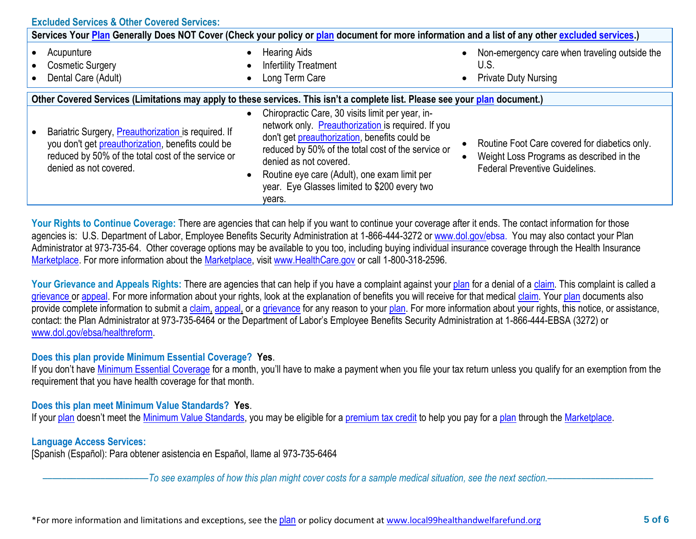| <b>Excluded Services &amp; Other Covered Services:</b>                                                                                                                                   |                                                                                                                                                                                                                                                                                                                                                                             |                                                                                                                                    |  |
|------------------------------------------------------------------------------------------------------------------------------------------------------------------------------------------|-----------------------------------------------------------------------------------------------------------------------------------------------------------------------------------------------------------------------------------------------------------------------------------------------------------------------------------------------------------------------------|------------------------------------------------------------------------------------------------------------------------------------|--|
|                                                                                                                                                                                          | Services Your Plan Generally Does NOT Cover (Check your policy or plan document for more information and a list of any other excluded services.)                                                                                                                                                                                                                            |                                                                                                                                    |  |
| Acupunture<br><b>Cosmetic Surgery</b><br>Dental Care (Adult)                                                                                                                             | <b>Hearing Aids</b><br>$\bullet$<br><b>Infertility Treatment</b><br>$\bullet$<br>Long Term Care<br>$\bullet$                                                                                                                                                                                                                                                                | Non-emergency care when traveling outside the<br>U.S.<br><b>Private Duty Nursing</b>                                               |  |
|                                                                                                                                                                                          | Other Covered Services (Limitations may apply to these services. This isn't a complete list. Please see your plan document.)                                                                                                                                                                                                                                                |                                                                                                                                    |  |
| Bariatric Surgery, Preauthorization is required. If<br>you don't get preauthorization, benefits could be<br>reduced by 50% of the total cost of the service or<br>denied as not covered. | Chiropractic Care, 30 visits limit per year, in-<br>$\bullet$<br>network only. Preauthorization is required. If you<br>don't get preauthorization, benefits could be<br>reduced by 50% of the total cost of the service or<br>denied as not covered.<br>Routine eye care (Adult), one exam limit per<br>$\bullet$<br>year. Eye Glasses limited to \$200 every two<br>vears. | Routine Foot Care covered for diabetics only.<br>Weight Loss Programs as described in the<br><b>Federal Preventive Guidelines.</b> |  |

Your Rights to Continue Coverage: There are agencies that can help if you want to continue your coverage after it ends. The contact information for those agencies is: U.S. Department of Labor, Employee Benefits Security Administration at 1-866-444-3272 or [www.dol.gov/ebsa.](http://www.dol.gov/ebsa) You may also contact your Plan Administrator at 973-735-64. Other coverage options may be available to you too, including buying individual insurance coverage through the Health Insurance [Marketplace.](https://www.healthcare.gov/sbc-glossary/#marketplace) For more information about the [Marketplace,](https://www.healthcare.gov/sbc-glossary/#marketplace) visi[t www.HealthCare.gov](http://www.healthcare.gov/) or call 1-800-318-2596.

Your Grievance and Appeals Rights: There are agencies that can help if you have a complaint against you[r plan](https://www.healthcare.gov/sbc-glossary/#plan) for a denial of a [claim.](https://www.healthcare.gov/sbc-glossary/#claim) This complaint is called a [grievance](https://www.healthcare.gov/sbc-glossary/#grievance) or [appeal.](https://www.healthcare.gov/sbc-glossary/#appeal) For more information about your rights, look at the explanation of benefits you will receive for that medical [claim.](https://www.healthcare.gov/sbc-glossary/#claim) Your [plan](https://www.healthcare.gov/sbc-glossary/#plan) documents also provide complete information to submit a [claim,](https://www.healthcare.gov/sbc-glossary/#claim) [appeal,](https://www.healthcare.gov/sbc-glossary/#appeal) or a [grievance](https://www.healthcare.gov/sbc-glossary/#grievance) for any reason to your [plan.](https://www.healthcare.gov/sbc-glossary/#plan) For more information about your rights, this notice, or assistance, contact: the Plan Administrator at 973-735-6464 or the Department of Labor's Employee Benefits Security Administration at 1-866-444-EBSA (3272) or [www.dol.gov/ebsa/healthreform.](http://www.dol.gov/ebsa/healthreform)

## **Does this plan provide Minimum Essential Coverage? Yes**.

If you don't have [Minimum Essential Coverage](https://www.healthcare.gov/sbc-glossary/#minimum-essential-coverage) for a month, you'll have to make a payment when you file your tax return unless you qualify for an exemption from the requirement that you have health coverage for that month.

## **Does this plan meet Minimum Value Standards? Yes**.

If your [plan](https://www.healthcare.gov/sbc-glossary/#plan) doesn't meet the [Minimum Value Standards,](https://www.healthcare.gov/sbc-glossary/#minimum-value-standard) you may be eligible for a [premium tax credit](https://www.healthcare.gov/sbc-glossary/#premium-tax-credits) to help you pay for a plan through the [Marketplace.](https://www.healthcare.gov/sbc-glossary/#marketplace)

## **Language Access Services:**

[Spanish (Español): Para obtener asistencia en Español, llame al 973-735-6464

––––––––––––––––––––––*To see examples of how this plan might cover costs for a sample medical situation, see the next section.–––––––––––*–––––––––––